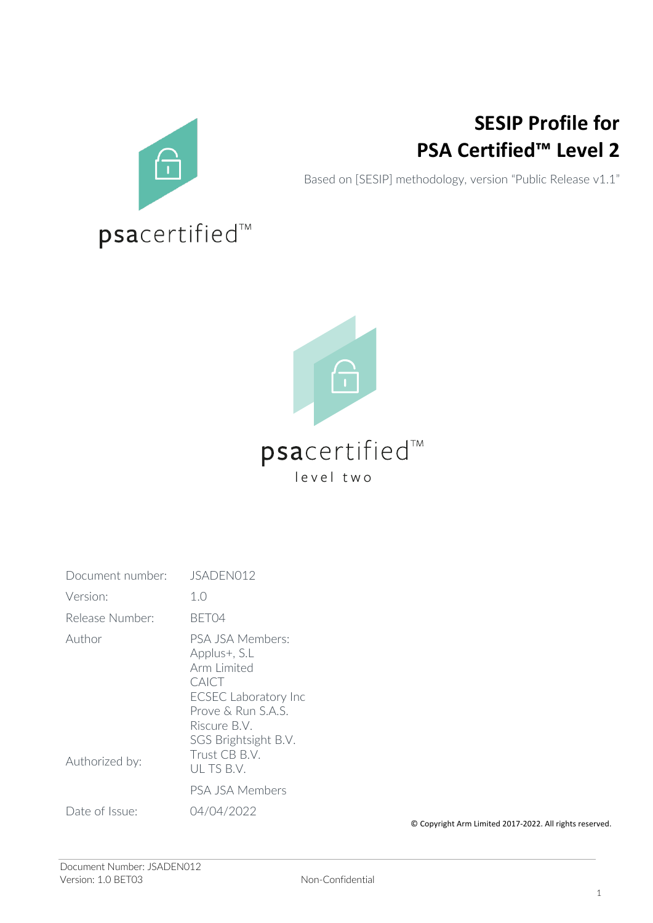

## **SESIP Profile for PSA Certified™ Level 2**

Based on [SESIP] methodology, version "Public Release v1.1"



## psacertified™ level two

| Document number:         | JSADEN012                                                                                                                                                                           |
|--------------------------|-------------------------------------------------------------------------------------------------------------------------------------------------------------------------------------|
| Version:                 | 1.0                                                                                                                                                                                 |
| Release Number:          | BFT04                                                                                                                                                                               |
| Author<br>Authorized by: | PSA JSA Members:<br>Applus+, S.L<br>Arm Limited<br>CAICT<br><b>ECSEC Laboratory Inc</b><br>Prove & Run S.A.S.<br>Riscure B.V.<br>SGS Brightsight B.V.<br>Trust CB B.V.<br>ULTS B.V. |
|                          | PSA JSA Members                                                                                                                                                                     |
| Date of Issue:           | 04/04/2022                                                                                                                                                                          |

© Copyright Arm Limited 2017-2022. All rights reserved.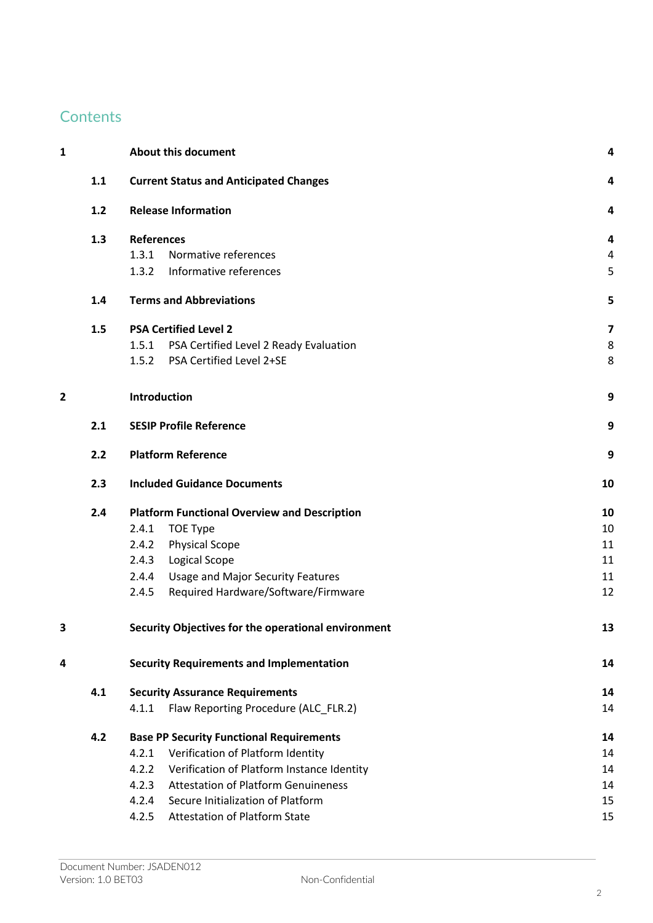## **Contents**

| 1                       |     | <b>About this document</b>                          | 4                       |
|-------------------------|-----|-----------------------------------------------------|-------------------------|
|                         | 1.1 | <b>Current Status and Anticipated Changes</b>       | 4                       |
|                         | 1.2 | <b>Release Information</b>                          | 4                       |
|                         | 1.3 | <b>References</b>                                   | 4                       |
|                         |     | Normative references<br>1.3.1                       | 4                       |
|                         |     | Informative references<br>1.3.2                     | 5                       |
|                         | 1.4 | <b>Terms and Abbreviations</b>                      | 5                       |
|                         | 1.5 | <b>PSA Certified Level 2</b>                        | $\overline{\mathbf{z}}$ |
|                         |     | PSA Certified Level 2 Ready Evaluation<br>1.5.1     | 8                       |
|                         |     | PSA Certified Level 2+SE<br>1.5.2                   | 8                       |
| $\overline{\mathbf{2}}$ |     | Introduction                                        | 9                       |
|                         | 2.1 | <b>SESIP Profile Reference</b>                      | 9                       |
|                         | 2.2 | <b>Platform Reference</b>                           | 9                       |
|                         | 2.3 | <b>Included Guidance Documents</b>                  | 10                      |
|                         | 2.4 | <b>Platform Functional Overview and Description</b> | 10                      |
|                         |     | 2.4.1<br><b>TOE Type</b>                            | 10                      |
|                         |     | <b>Physical Scope</b><br>2.4.2                      | 11                      |
|                         |     | 2.4.3<br>Logical Scope                              | 11                      |
|                         |     | <b>Usage and Major Security Features</b><br>2.4.4   | 11                      |
|                         |     | 2.4.5<br>Required Hardware/Software/Firmware        | 12                      |
| 3                       |     | Security Objectives for the operational environment | 13                      |
| 4                       |     | <b>Security Requirements and Implementation</b>     | 14                      |
|                         | 4.1 | <b>Security Assurance Requirements</b>              | 14                      |
|                         |     | Flaw Reporting Procedure (ALC_FLR.2)<br>4.1.1       | 14                      |
|                         | 4.2 | <b>Base PP Security Functional Requirements</b>     | 14                      |
|                         |     | Verification of Platform Identity<br>4.2.1          | 14                      |
|                         |     | Verification of Platform Instance Identity<br>4.2.2 | 14                      |
|                         |     | <b>Attestation of Platform Genuineness</b><br>4.2.3 | 14                      |
|                         |     | Secure Initialization of Platform<br>4.2.4          | 15                      |
|                         |     | <b>Attestation of Platform State</b><br>4.2.5       | 15                      |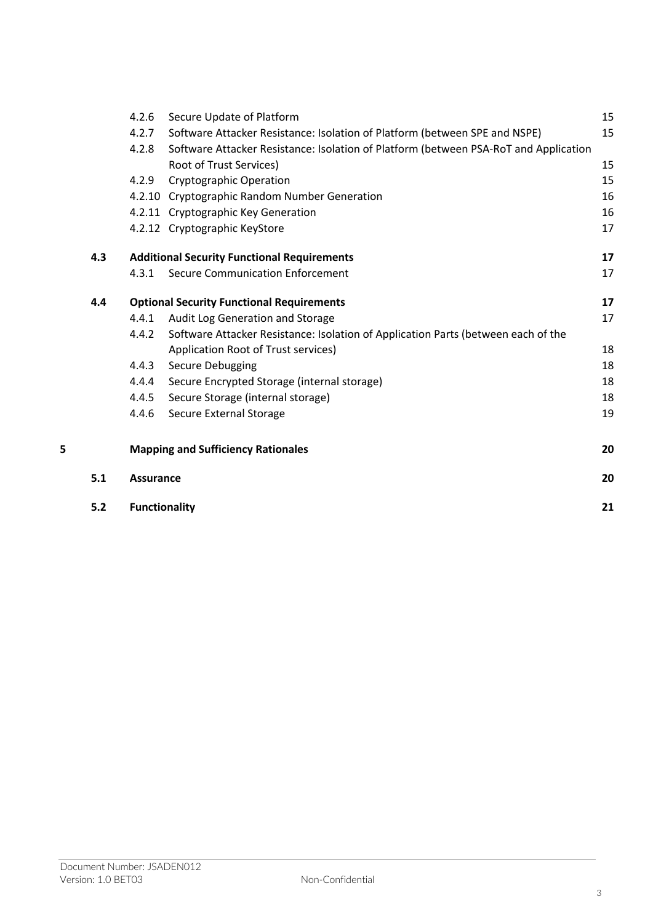|   |     | 4.2.6                | Secure Update of Platform                                                            | 15 |
|---|-----|----------------------|--------------------------------------------------------------------------------------|----|
|   |     | 4.2.7                | Software Attacker Resistance: Isolation of Platform (between SPE and NSPE)           | 15 |
|   |     | 4.2.8                | Software Attacker Resistance: Isolation of Platform (between PSA-RoT and Application |    |
|   |     |                      | Root of Trust Services)                                                              | 15 |
|   |     | 4.2.9                | <b>Cryptographic Operation</b>                                                       | 15 |
|   |     |                      | 4.2.10 Cryptographic Random Number Generation                                        | 16 |
|   |     |                      | 4.2.11 Cryptographic Key Generation                                                  | 16 |
|   |     |                      | 4.2.12 Cryptographic KeyStore                                                        | 17 |
|   | 4.3 |                      | <b>Additional Security Functional Requirements</b>                                   | 17 |
|   |     | 4.3.1                | <b>Secure Communication Enforcement</b>                                              | 17 |
|   | 4.4 |                      | <b>Optional Security Functional Requirements</b>                                     | 17 |
|   |     | 4.4.1                | Audit Log Generation and Storage                                                     | 17 |
|   |     | 4.4.2                | Software Attacker Resistance: Isolation of Application Parts (between each of the    |    |
|   |     |                      | Application Root of Trust services)                                                  | 18 |
|   |     | 4.4.3                | Secure Debugging                                                                     | 18 |
|   |     | 4.4.4                | Secure Encrypted Storage (internal storage)                                          | 18 |
|   |     | 4.4.5                | Secure Storage (internal storage)                                                    | 18 |
|   |     | 4.4.6                | Secure External Storage                                                              | 19 |
| 5 |     |                      | <b>Mapping and Sufficiency Rationales</b>                                            | 20 |
|   | 5.1 | <b>Assurance</b>     |                                                                                      | 20 |
|   | 5.2 | <b>Functionality</b> |                                                                                      | 21 |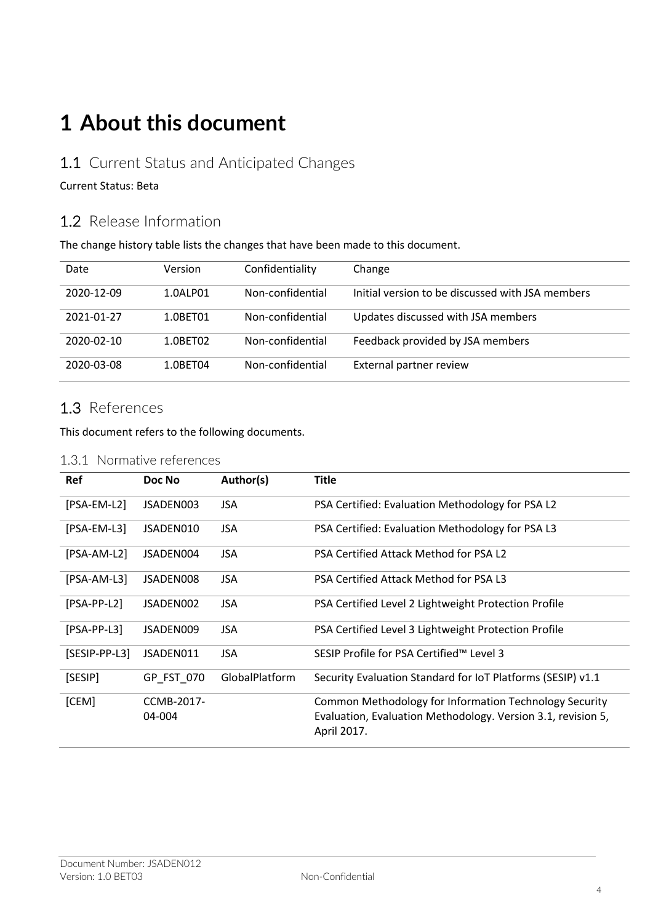## **1 About this document**

## 1.1 Current Status and Anticipated Changes

#### Current Status: Beta

## 1.2 Release Information

The change history table lists the changes that have been made to this document.

| Date       | Version  | Confidentiality  | Change                                           |
|------------|----------|------------------|--------------------------------------------------|
| 2020-12-09 | 1.0ALP01 | Non-confidential | Initial version to be discussed with JSA members |
| 2021-01-27 | 1.0BET01 | Non-confidential | Updates discussed with JSA members               |
| 2020-02-10 | 1.0BET02 | Non-confidential | Feedback provided by JSA members                 |
| 2020-03-08 | 1.0BET04 | Non-confidential | External partner review                          |

## 1.3 References

This document refers to the following documents.

#### 1.3.1 Normative references

| <b>Ref</b>    | Doc No               | Author(s)      | <b>Title</b>                                                                                                                          |  |
|---------------|----------------------|----------------|---------------------------------------------------------------------------------------------------------------------------------------|--|
| [PSA-EM-L2]   | JSADEN003            | <b>JSA</b>     | PSA Certified: Evaluation Methodology for PSA L2                                                                                      |  |
| $[PSA-EM-L3]$ | JSADEN010            | <b>JSA</b>     | PSA Certified: Evaluation Methodology for PSA L3                                                                                      |  |
| [PSA-AM-L2]   | JSADEN004            | <b>JSA</b>     | PSA Certified Attack Method for PSA L2                                                                                                |  |
| $[PSA-AM-L3]$ | JSADEN008            | <b>JSA</b>     | PSA Certified Attack Method for PSA L3                                                                                                |  |
| $[PSA-PP-L2]$ | JSADEN002            | <b>JSA</b>     | PSA Certified Level 2 Lightweight Protection Profile                                                                                  |  |
| $[PSA-PP-L3]$ | JSADEN009            | <b>JSA</b>     | PSA Certified Level 3 Lightweight Protection Profile                                                                                  |  |
| [SESIP-PP-L3] | JSADEN011            | <b>JSA</b>     | SESIP Profile for PSA Certified™ Level 3                                                                                              |  |
| [SESIP]       | GP FST 070           | GlobalPlatform | Security Evaluation Standard for IoT Platforms (SESIP) v1.1                                                                           |  |
| [CEM]         | CCMB-2017-<br>04-004 |                | Common Methodology for Information Technology Security<br>Evaluation, Evaluation Methodology. Version 3.1, revision 5,<br>April 2017. |  |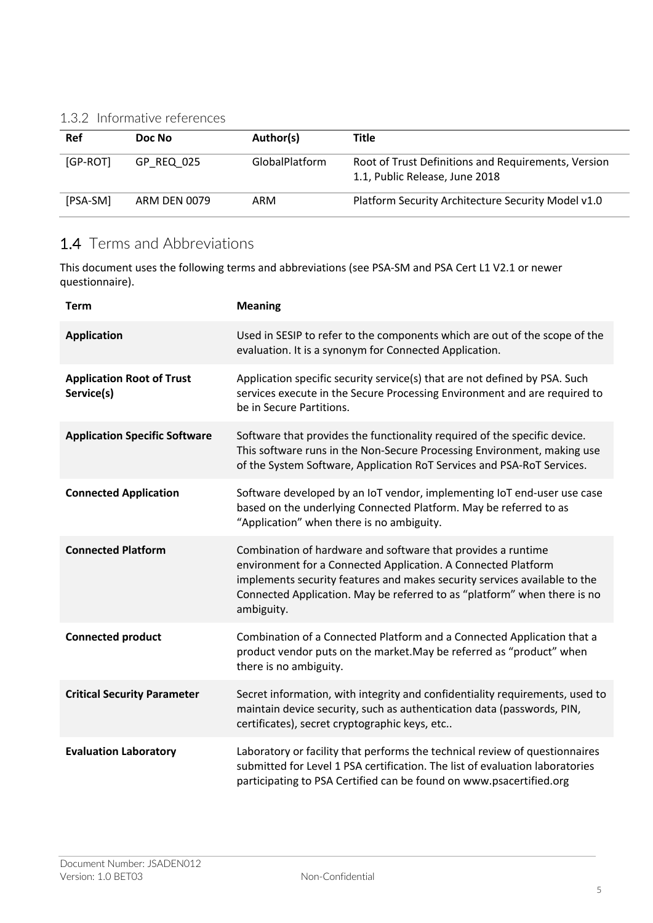### 1.3.2 Informative references

| Ref      | Doc No       | Author(s)      | Title                                                                                 |
|----------|--------------|----------------|---------------------------------------------------------------------------------------|
| [GP-ROT] | GP REQ 025   | GlobalPlatform | Root of Trust Definitions and Requirements, Version<br>1.1, Public Release, June 2018 |
| [PSA-SM] | ARM DEN 0079 | ARM            | Platform Security Architecture Security Model v1.0                                    |

## 1.4 Terms and Abbreviations

This document uses the following terms and abbreviations (see PSA-SM and PSA Cert L1 V2.1 or newer questionnaire).

| <b>Term</b>                                    | <b>Meaning</b>                                                                                                                                                                                                                                                                                       |  |
|------------------------------------------------|------------------------------------------------------------------------------------------------------------------------------------------------------------------------------------------------------------------------------------------------------------------------------------------------------|--|
| <b>Application</b>                             | Used in SESIP to refer to the components which are out of the scope of the<br>evaluation. It is a synonym for Connected Application.                                                                                                                                                                 |  |
| <b>Application Root of Trust</b><br>Service(s) | Application specific security service(s) that are not defined by PSA. Such<br>services execute in the Secure Processing Environment and are required to<br>be in Secure Partitions.                                                                                                                  |  |
| <b>Application Specific Software</b>           | Software that provides the functionality required of the specific device.<br>This software runs in the Non-Secure Processing Environment, making use<br>of the System Software, Application RoT Services and PSA-RoT Services.                                                                       |  |
| <b>Connected Application</b>                   | Software developed by an IoT vendor, implementing IoT end-user use case<br>based on the underlying Connected Platform. May be referred to as<br>"Application" when there is no ambiguity.                                                                                                            |  |
| <b>Connected Platform</b>                      | Combination of hardware and software that provides a runtime<br>environment for a Connected Application. A Connected Platform<br>implements security features and makes security services available to the<br>Connected Application. May be referred to as "platform" when there is no<br>ambiguity. |  |
| <b>Connected product</b>                       | Combination of a Connected Platform and a Connected Application that a<br>product vendor puts on the market. May be referred as "product" when<br>there is no ambiguity.                                                                                                                             |  |
| <b>Critical Security Parameter</b>             | Secret information, with integrity and confidentiality requirements, used to<br>maintain device security, such as authentication data (passwords, PIN,<br>certificates), secret cryptographic keys, etc                                                                                              |  |
| <b>Evaluation Laboratory</b>                   | Laboratory or facility that performs the technical review of questionnaires<br>submitted for Level 1 PSA certification. The list of evaluation laboratories<br>participating to PSA Certified can be found on www.psacertified.org                                                                   |  |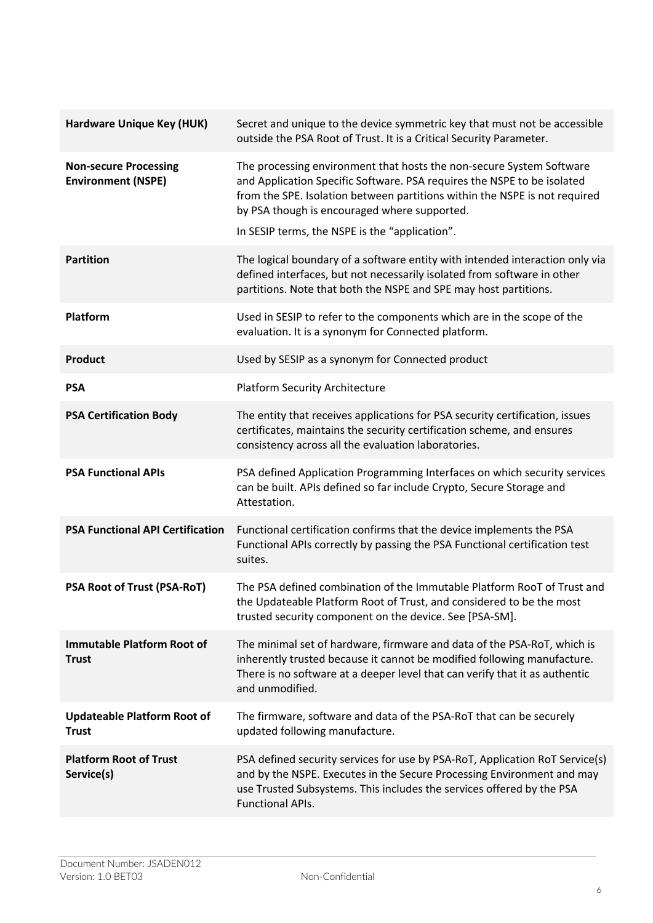| <b>Hardware Unique Key (HUK)</b>                          | Secret and unique to the device symmetric key that must not be accessible<br>outside the PSA Root of Trust. It is a Critical Security Parameter.                                                                                                                                                                                |
|-----------------------------------------------------------|---------------------------------------------------------------------------------------------------------------------------------------------------------------------------------------------------------------------------------------------------------------------------------------------------------------------------------|
| <b>Non-secure Processing</b><br><b>Environment (NSPE)</b> | The processing environment that hosts the non-secure System Software<br>and Application Specific Software. PSA requires the NSPE to be isolated<br>from the SPE. Isolation between partitions within the NSPE is not required<br>by PSA though is encouraged where supported.<br>In SESIP terms, the NSPE is the "application". |
| <b>Partition</b>                                          | The logical boundary of a software entity with intended interaction only via<br>defined interfaces, but not necessarily isolated from software in other<br>partitions. Note that both the NSPE and SPE may host partitions.                                                                                                     |
| Platform                                                  | Used in SESIP to refer to the components which are in the scope of the<br>evaluation. It is a synonym for Connected platform.                                                                                                                                                                                                   |
| <b>Product</b>                                            | Used by SESIP as a synonym for Connected product                                                                                                                                                                                                                                                                                |
| <b>PSA</b>                                                | <b>Platform Security Architecture</b>                                                                                                                                                                                                                                                                                           |
| <b>PSA Certification Body</b>                             | The entity that receives applications for PSA security certification, issues<br>certificates, maintains the security certification scheme, and ensures<br>consistency across all the evaluation laboratories.                                                                                                                   |
| <b>PSA Functional APIs</b>                                | PSA defined Application Programming Interfaces on which security services<br>can be built. APIs defined so far include Crypto, Secure Storage and<br>Attestation.                                                                                                                                                               |
| <b>PSA Functional API Certification</b>                   | Functional certification confirms that the device implements the PSA<br>Functional APIs correctly by passing the PSA Functional certification test<br>suites.                                                                                                                                                                   |
| PSA Root of Trust (PSA-RoT)                               | The PSA defined combination of the Immutable Platform RooT of Trust and<br>the Updateable Platform Root of Trust, and considered to be the most<br>trusted security component on the device. See [PSA-SM].                                                                                                                      |
| <b>Immutable Platform Root of</b><br><b>Trust</b>         | The minimal set of hardware, firmware and data of the PSA-RoT, which is<br>inherently trusted because it cannot be modified following manufacture.<br>There is no software at a deeper level that can verify that it as authentic<br>and unmodified.                                                                            |
| <b>Updateable Platform Root of</b><br><b>Trust</b>        | The firmware, software and data of the PSA-RoT that can be securely<br>updated following manufacture.                                                                                                                                                                                                                           |
| <b>Platform Root of Trust</b><br>Service(s)               | PSA defined security services for use by PSA-RoT, Application RoT Service(s)<br>and by the NSPE. Executes in the Secure Processing Environment and may<br>use Trusted Subsystems. This includes the services offered by the PSA<br><b>Functional APIs.</b>                                                                      |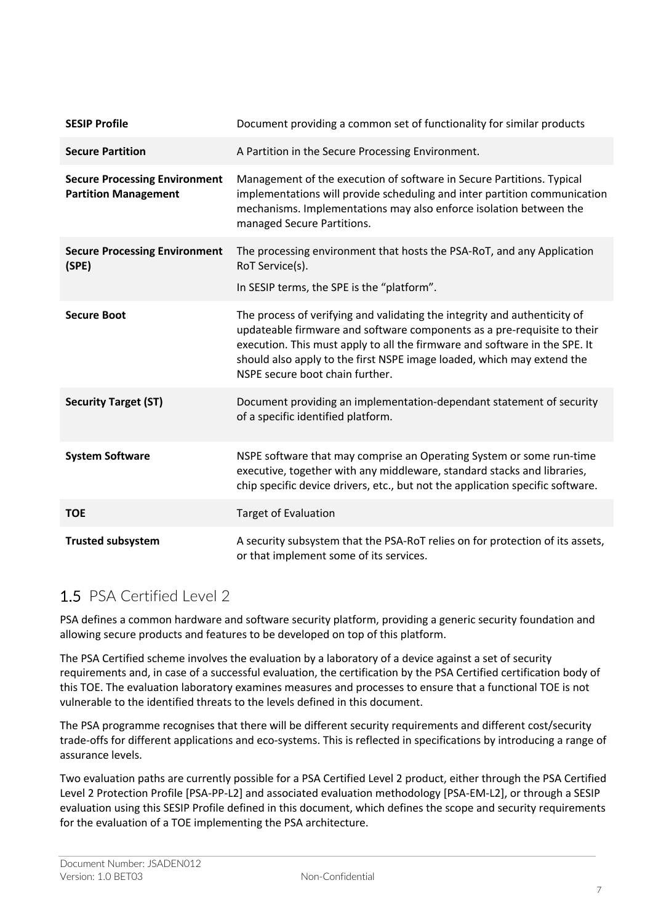| <b>SESIP Profile</b>                                                | Document providing a common set of functionality for similar products                                                                                                                                                                                                                                                                           |  |
|---------------------------------------------------------------------|-------------------------------------------------------------------------------------------------------------------------------------------------------------------------------------------------------------------------------------------------------------------------------------------------------------------------------------------------|--|
| <b>Secure Partition</b>                                             | A Partition in the Secure Processing Environment.                                                                                                                                                                                                                                                                                               |  |
| <b>Secure Processing Environment</b><br><b>Partition Management</b> | Management of the execution of software in Secure Partitions. Typical<br>implementations will provide scheduling and inter partition communication<br>mechanisms. Implementations may also enforce isolation between the<br>managed Secure Partitions.                                                                                          |  |
| <b>Secure Processing Environment</b><br>(SPE)                       | The processing environment that hosts the PSA-RoT, and any Application<br>RoT Service(s).<br>In SESIP terms, the SPE is the "platform".                                                                                                                                                                                                         |  |
| <b>Secure Boot</b>                                                  | The process of verifying and validating the integrity and authenticity of<br>updateable firmware and software components as a pre-requisite to their<br>execution. This must apply to all the firmware and software in the SPE. It<br>should also apply to the first NSPE image loaded, which may extend the<br>NSPE secure boot chain further. |  |
| <b>Security Target (ST)</b>                                         | Document providing an implementation-dependant statement of security<br>of a specific identified platform.                                                                                                                                                                                                                                      |  |
| <b>System Software</b>                                              | NSPE software that may comprise an Operating System or some run-time<br>executive, together with any middleware, standard stacks and libraries,<br>chip specific device drivers, etc., but not the application specific software.                                                                                                               |  |
| <b>TOE</b>                                                          | <b>Target of Evaluation</b>                                                                                                                                                                                                                                                                                                                     |  |
| <b>Trusted subsystem</b>                                            | A security subsystem that the PSA-RoT relies on for protection of its assets,<br>or that implement some of its services.                                                                                                                                                                                                                        |  |

## 1.5 PSA Certified Level 2

PSA defines a common hardware and software security platform, providing a generic security foundation and allowing secure products and features to be developed on top of this platform.

The PSA Certified scheme involves the evaluation by a laboratory of a device against a set of security requirements and, in case of a successful evaluation, the certification by the PSA Certified certification body of this TOE. The evaluation laboratory examines measures and processes to ensure that a functional TOE is not vulnerable to the identified threats to the levels defined in this document.

The PSA programme recognises that there will be different security requirements and different cost/security trade-offs for different applications and eco-systems. This is reflected in specifications by introducing a range of assurance levels.

Two evaluation paths are currently possible for a PSA Certified Level 2 product, either through the PSA Certified Level 2 Protection Profile [PSA-PP-L2] and associated evaluation methodology [PSA-EM-L2], or through a SESIP evaluation using this SESIP Profile defined in this document, which defines the scope and security requirements for the evaluation of a TOE implementing the PSA architecture.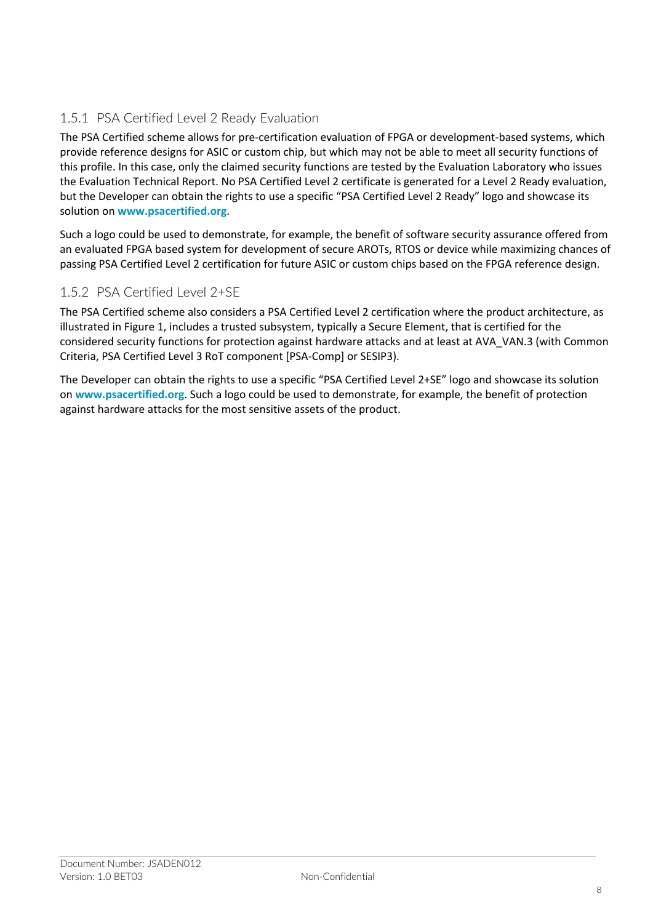### 1.5.1 PSA Certified Level 2 Ready Evaluation

The PSA Certified scheme allows for pre-certification evaluation of FPGA or development-based systems, which provide reference designs for ASIC or custom chip, but which may not be able to meet all security functions of this profile. In this case, only the claimed security functions are tested by the Evaluation Laboratory who issues the Evaluation Technical Report. No PSA Certified Level 2 certificate is generated for a Level 2 Ready evaluation, but the Developer can obtain the rights to use a specific "PSA Certified Level 2 Ready" logo and showcase its solution on **www.psacertified.org**.

Such a logo could be used to demonstrate, for example, the benefit of software security assurance offered from an evaluated FPGA based system for development of secure AROTs, RTOS or device while maximizing chances of passing PSA Certified Level 2 certification for future ASIC or custom chips based on the FPGA reference design.

### 1.5.2 PSA Certified Level 2+SE

The PSA Certified scheme also considers a PSA Certified Level 2 certification where the product architecture, as illustrated in Figure 1, includes a trusted subsystem, typically a Secure Element, that is certified for the considered security functions for protection against hardware attacks and at least at AVA\_VAN.3 (with Common Criteria, PSA Certified Level 3 RoT component [PSA-Comp] or SESIP3).

The Developer can obtain the rights to use a specific "PSA Certified Level 2+SE" logo and showcase its solution on **www.psacertified.org**. Such a logo could be used to demonstrate, for example, the benefit of protection against hardware attacks for the most sensitive assets of the product.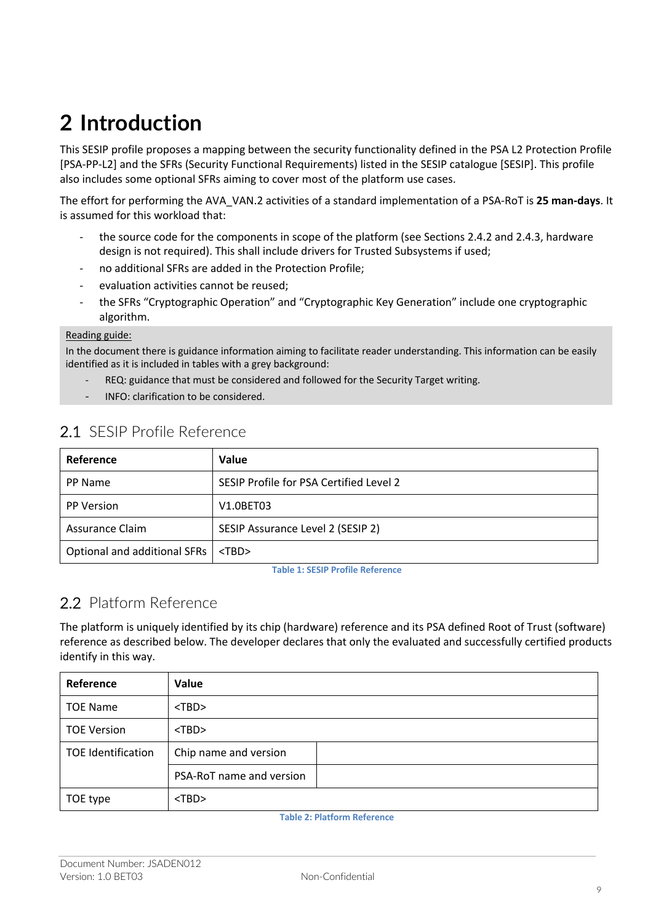# **2 Introduction**

This SESIP profile proposes a mapping between the security functionality defined in the PSA L2 Protection Profile [PSA-PP-L2] and the SFRs (Security Functional Requirements) listed in the SESIP catalogue [SESIP]. This profile also includes some optional SFRs aiming to cover most of the platform use cases.

The effort for performing the AVA\_VAN.2 activities of a standard implementation of a PSA-RoT is **25 man-days**. It is assumed for this workload that:

- the source code for the components in scope of the platform (see Sections 2.4.2 and 2.4.3, hardware design is not required). This shall include drivers for Trusted Subsystems if used;
- no additional SFRs are added in the Protection Profile:
- evaluation activities cannot be reused;
- the SFRs "Cryptographic Operation" and "Cryptographic Key Generation" include one cryptographic algorithm.

#### Reading guide:

In the document there is guidance information aiming to facilitate reader understanding. This information can be easily identified as it is included in tables with a grey background:

- REQ: guidance that must be considered and followed for the Security Target writing.
- INFO: clarification to be considered.

| Reference                    | Value                                   |
|------------------------------|-----------------------------------------|
| PP Name                      | SESIP Profile for PSA Certified Level 2 |
| <b>PP Version</b>            | V1.0BET03                               |
| Assurance Claim              | SESIP Assurance Level 2 (SESIP 2)       |
| Optional and additional SFRs | $<$ TBD $>$                             |

## 2.1 SESIP Profile Reference

**Table 1: SESIP Profile Reference**

## 2.2 Platform Reference

The platform is uniquely identified by its chip (hardware) reference and its PSA defined Root of Trust (software) reference as described below. The developer declares that only the evaluated and successfully certified products identify in this way.

| Reference                 | Value                    |
|---------------------------|--------------------------|
| <b>TOE Name</b>           | $<$ TBD $>$              |
| <b>TOE Version</b>        | $<$ TBD $>$              |
| <b>TOE Identification</b> | Chip name and version    |
|                           | PSA-RoT name and version |
| TOE type                  | $<$ TBD $>$              |

**Table 2: Platform Reference**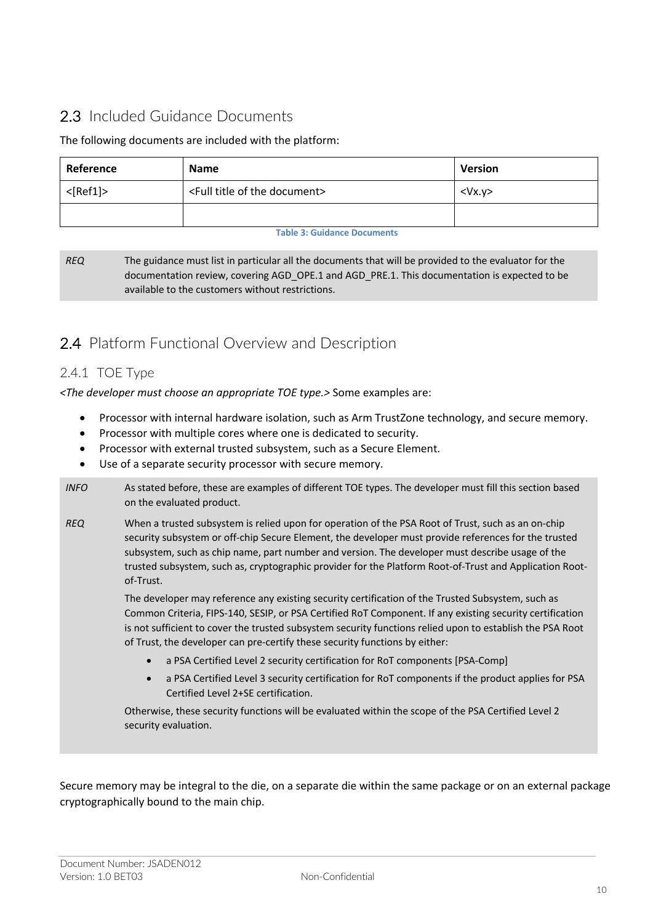## 2.3 Included Guidance Documents

#### The following documents are included with the platform:

| Reference                                                      | <b>Name</b> |           |
|----------------------------------------------------------------|-------------|-----------|
| $<$ [Ref1]><br><full document="" of="" the="" title=""></full> |             | $<$ Vx.y> |
|                                                                |             |           |

#### **Table 3: Guidance Documents**

*REQ* The guidance must list in particular all the documents that will be provided to the evaluator for the documentation review, covering AGD\_OPE.1 and AGD\_PRE.1. This documentation is expected to be available to the customers without restrictions.

## 2.4 Platform Functional Overview and Description

#### 2.4.1 TOE Type

*<The developer must choose an appropriate TOE type.>* Some examples are:

- Processor with internal hardware isolation, such as Arm TrustZone technology, and secure memory.
- Processor with multiple cores where one is dedicated to security.
- Processor with external trusted subsystem, such as a Secure Element.
- Use of a separate security processor with secure memory.
- *INFO* As stated before, these are examples of different TOE types. The developer must fill this section based on the evaluated product.
- *REQ* When a trusted subsystem is relied upon for operation of the PSA Root of Trust, such as an on-chip security subsystem or off-chip Secure Element, the developer must provide references for the trusted subsystem, such as chip name, part number and version. The developer must describe usage of the trusted subsystem, such as, cryptographic provider for the Platform Root-of-Trust and Application Rootof-Trust.

The developer may reference any existing security certification of the Trusted Subsystem, such as Common Criteria, FIPS-140, SESIP, or PSA Certified RoT Component. If any existing security certification is not sufficient to cover the trusted subsystem security functions relied upon to establish the PSA Root of Trust, the developer can pre-certify these security functions by either:

- a PSA Certified Level 2 security certification for RoT components [PSA-Comp]
- a PSA Certified Level 3 security certification for RoT components if the product applies for PSA Certified Level 2+SE certification.

Otherwise, these security functions will be evaluated within the scope of the PSA Certified Level 2 security evaluation.

Secure memory may be integral to the die, on a separate die within the same package or on an external package cryptographically bound to the main chip.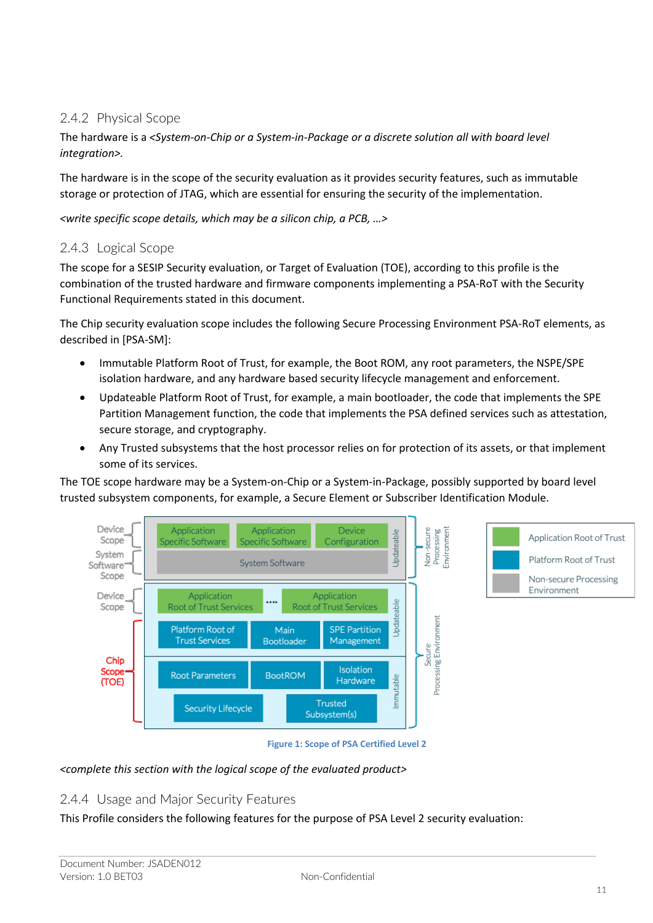### 2.4.2 Physical Scope

The hardware is a *<System-on-Chip or a System-in-Package or a discrete solution all with board level integration>.*

The hardware is in the scope of the security evaluation as it provides security features, such as immutable storage or protection of JTAG, which are essential for ensuring the security of the implementation.

*<write specific scope details, which may be a silicon chip, a PCB, …>*

#### 2.4.3 Logical Scope

The scope for a SESIP Security evaluation, or Target of Evaluation (TOE), according to this profile is the combination of the trusted hardware and firmware components implementing a PSA-RoT with the Security Functional Requirements stated in this document.

The Chip security evaluation scope includes the following Secure Processing Environment PSA-RoT elements, as described in [PSA-SM]:

- Immutable Platform Root of Trust, for example, the Boot ROM, any root parameters, the NSPE/SPE isolation hardware, and any hardware based security lifecycle management and enforcement.
- Updateable Platform Root of Trust, for example, a main bootloader, the code that implements the SPE Partition Management function, the code that implements the PSA defined services such as attestation, secure storage, and cryptography.
- Any Trusted subsystems that the host processor relies on for protection of its assets, or that implement some of its services.

The TOE scope hardware may be a System-on-Chip or a System-in-Package, possibly supported by board level trusted subsystem components, for example, a Secure Element or Subscriber Identification Module.



#### **Figure 1: Scope of PSA Certified Level 2**

#### *<complete this section with the logical scope of the evaluated product>*

#### 2.4.4 Usage and Major Security Features

This Profile considers the following features for the purpose of PSA Level 2 security evaluation: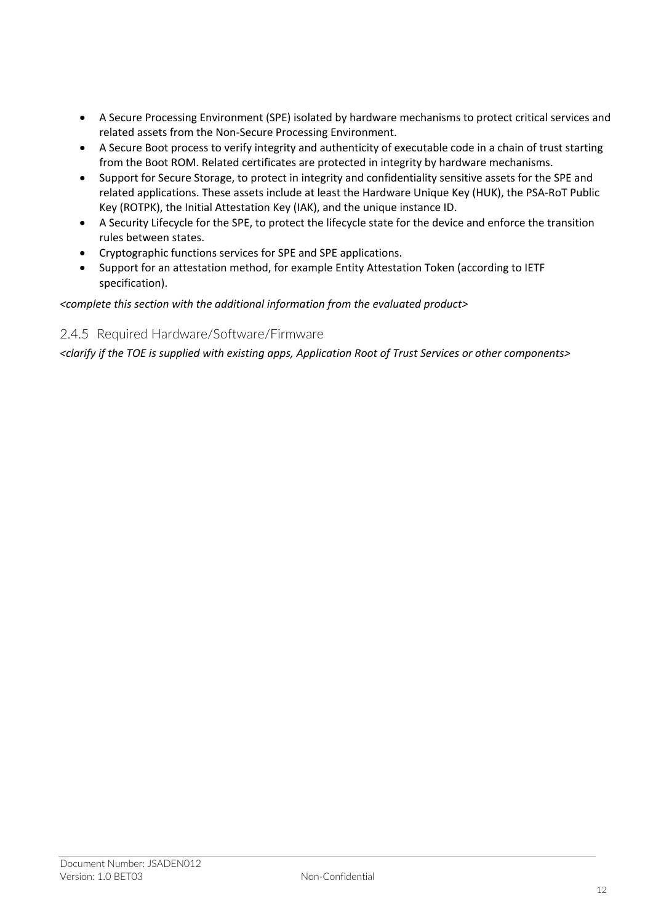- A Secure Processing Environment (SPE) isolated by hardware mechanisms to protect critical services and related assets from the Non-Secure Processing Environment.
- A Secure Boot process to verify integrity and authenticity of executable code in a chain of trust starting from the Boot ROM. Related certificates are protected in integrity by hardware mechanisms.
- Support for Secure Storage, to protect in integrity and confidentiality sensitive assets for the SPE and related applications. These assets include at least the Hardware Unique Key (HUK), the PSA-RoT Public Key (ROTPK), the Initial Attestation Key (IAK), and the unique instance ID.
- A Security Lifecycle for the SPE, to protect the lifecycle state for the device and enforce the transition rules between states.
- Cryptographic functions services for SPE and SPE applications.
- Support for an attestation method, for example Entity Attestation Token (according to IETF specification).

*<complete this section with the additional information from the evaluated product>*

#### 2.4.5 Required Hardware/Software/Firmware

*<clarify if the TOE is supplied with existing apps, Application Root of Trust Services or other components>*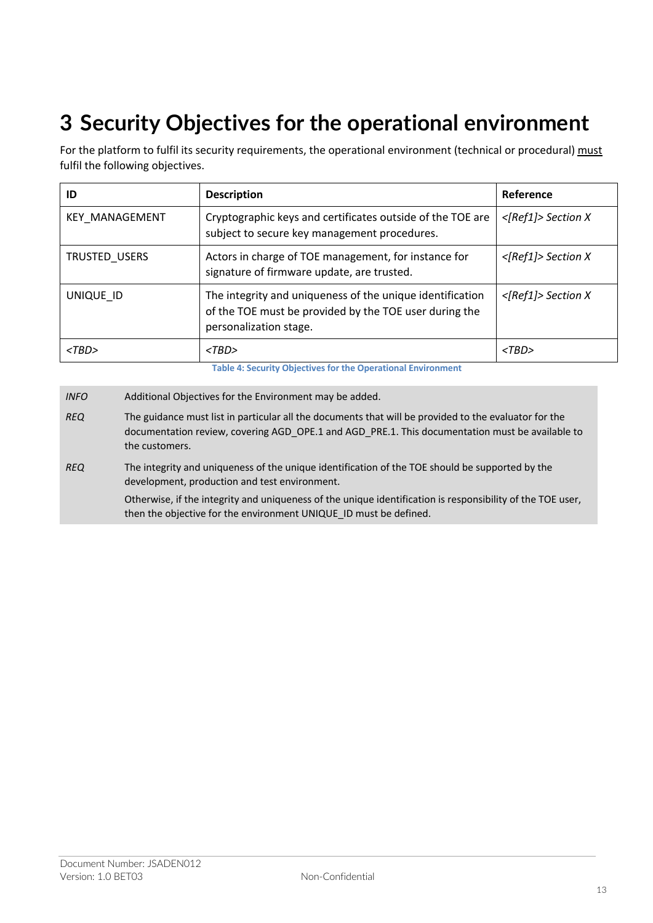## **3 Security Objectives for the operational environment**

For the platform to fulfil its security requirements, the operational environment (technical or procedural) must fulfil the following objectives.

| ID                    | <b>Description</b>                                                                                                                            | Reference             |
|-----------------------|-----------------------------------------------------------------------------------------------------------------------------------------------|-----------------------|
| <b>KEY MANAGEMENT</b> | Cryptographic keys and certificates outside of the TOE are<br>subject to secure key management procedures.                                    | $<$ [Ref1]> Section X |
| TRUSTED_USERS         | Actors in charge of TOE management, for instance for<br>signature of firmware update, are trusted.                                            | $<$ [Ref1]> Section X |
| UNIQUE ID             | The integrity and uniqueness of the unique identification<br>of the TOE must be provided by the TOE user during the<br>personalization stage. | $<$ [Ref1]> Section X |
| $<$ TBD>              | $<$ TBD>                                                                                                                                      | $<$ TBD>              |

**Table 4: Security Objectives for the Operational Environment**

*INFO* Additional Objectives for the Environment may be added.

*REQ* The guidance must list in particular all the documents that will be provided to the evaluator for the documentation review, covering AGD\_OPE.1 and AGD\_PRE.1. This documentation must be available to the customers.

*REQ* The integrity and uniqueness of the unique identification of the TOE should be supported by the development, production and test environment.

Otherwise, if the integrity and uniqueness of the unique identification is responsibility of the TOE user, then the objective for the environment UNIQUE\_ID must be defined.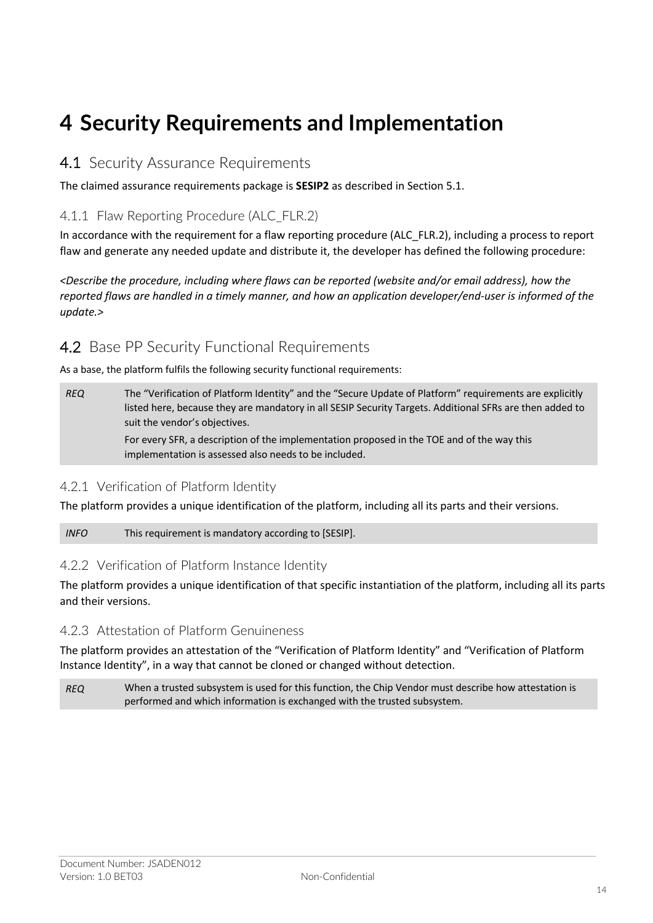## **4 Security Requirements and Implementation**

### 4.1 Security Assurance Requirements

The claimed assurance requirements package is **SESIP2** as described in Section 5.1.

#### 4.1.1 Flaw Reporting Procedure (ALC\_FLR.2)

In accordance with the requirement for a flaw reporting procedure (ALC\_FLR.2), including a process to report flaw and generate any needed update and distribute it, the developer has defined the following procedure:

*<Describe the procedure, including where flaws can be reported (website and/or email address), how the reported flaws are handled in a timely manner, and how an application developer/end-user is informed of the update.>*

### 4.2 Base PP Security Functional Requirements

As a base, the platform fulfils the following security functional requirements:

implementation is assessed also needs to be included.

*REQ* The "Verification of Platform Identity" and the "Secure Update of Platform" requirements are explicitly listed here, because they are mandatory in all SESIP Security Targets. Additional SFRs are then added to suit the vendor's objectives. For every SFR, a description of the implementation proposed in the TOE and of the way this

#### 4.2.1 Verification of Platform Identity

The platform provides a unique identification of the platform, including all its parts and their versions.

*INFO* This requirement is mandatory according to [SESIP].

#### 4.2.2 Verification of Platform Instance Identity

The platform provides a unique identification of that specific instantiation of the platform, including all its parts and their versions.

#### 4.2.3 Attestation of Platform Genuineness

The platform provides an attestation of the "Verification of Platform Identity" and "Verification of Platform Instance Identity", in a way that cannot be cloned or changed without detection.

*REQ* When a trusted subsystem is used for this function, the Chip Vendor must describe how attestation is performed and which information is exchanged with the trusted subsystem.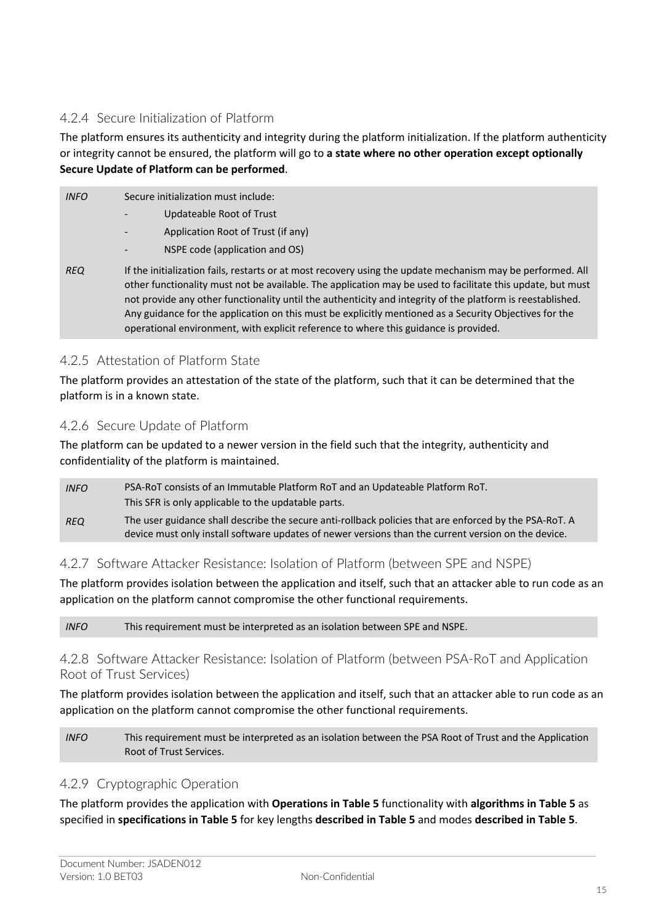#### 4.2.4 Secure Initialization of Platform

The platform ensures its authenticity and integrity during the platform initialization. If the platform authenticity or integrity cannot be ensured, the platform will go to **a state where no other operation except optionally Secure Update of Platform can be performed**.

| <b>INFO</b> | Secure initialization must include:<br>Updateable Root of Trust<br>Application Root of Trust (if any)<br>$\overline{\phantom{a}}$                                                                                                                                                                                                                                                                                                                                                                                                        |
|-------------|------------------------------------------------------------------------------------------------------------------------------------------------------------------------------------------------------------------------------------------------------------------------------------------------------------------------------------------------------------------------------------------------------------------------------------------------------------------------------------------------------------------------------------------|
|             | NSPE code (application and OS)                                                                                                                                                                                                                                                                                                                                                                                                                                                                                                           |
| <b>REQ</b>  | If the initialization fails, restarts or at most recovery using the update mechanism may be performed. All<br>other functionality must not be available. The application may be used to facilitate this update, but must<br>not provide any other functionality until the authenticity and integrity of the platform is reestablished.<br>Any guidance for the application on this must be explicitly mentioned as a Security Objectives for the<br>operational environment, with explicit reference to where this guidance is provided. |

#### 4.2.5 Attestation of Platform State

The platform provides an attestation of the state of the platform, such that it can be determined that the platform is in a known state.

#### 4.2.6 Secure Update of Platform

The platform can be updated to a newer version in the field such that the integrity, authenticity and confidentiality of the platform is maintained.

| <b>INFO</b> | PSA-RoT consists of an Immutable Platform RoT and an Updateable Platform RoT.<br>This SFR is only applicable to the updatable parts.                                                                          |
|-------------|---------------------------------------------------------------------------------------------------------------------------------------------------------------------------------------------------------------|
| <b>REQ</b>  | The user guidance shall describe the secure anti-rollback policies that are enforced by the PSA-ROT. A<br>device must only install software updates of newer versions than the current version on the device. |

#### 4.2.7 Software Attacker Resistance: Isolation of Platform (between SPE and NSPE)

The platform provides isolation between the application and itself, such that an attacker able to run code as an application on the platform cannot compromise the other functional requirements.

*INFO* This requirement must be interpreted as an isolation between SPE and NSPE.

#### 4.2.8 Software Attacker Resistance: Isolation of Platform (between PSA-RoT and Application Root of Trust Services)

The platform provides isolation between the application and itself, such that an attacker able to run code as an application on the platform cannot compromise the other functional requirements.

*INFO* This requirement must be interpreted as an isolation between the PSA Root of Trust and the Application Root of Trust Services.

#### 4.2.9 Cryptographic Operation

The platform provides the application with **Operations in Table 5** functionality with **algorithms in Table 5** as specified in **specifications in Table 5** for key lengths **described in Table 5** and modes **described in Table 5**.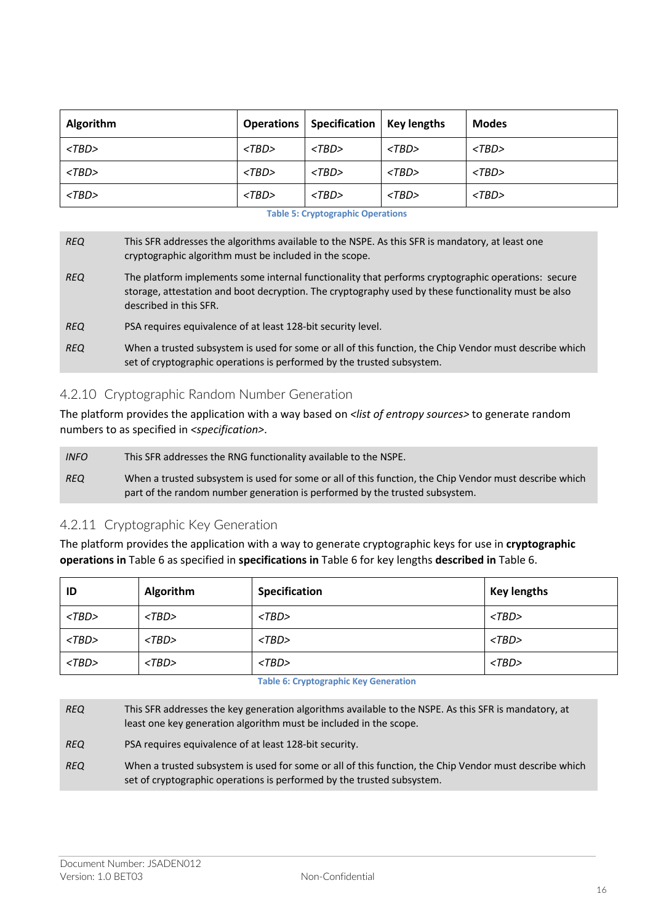| <b>Algorithm</b> |             | <b>Operations   Specification   Key lengths</b> |          | <b>Modes</b> |
|------------------|-------------|-------------------------------------------------|----------|--------------|
| $<$ TBD>         | $<$ TBD $>$ | $<$ TBD>                                        | $<$ TBD> | $<$ TBD>     |
| $<$ TBD>         | $<$ TBD $>$ | $<$ TBD>                                        | $<$ TBD> | $<$ TBD>     |
| $<$ TBD>         | $<$ TBD>    | $<$ TBD>                                        | $<$ TBD> | $<$ TBD>     |

| <b>REQ</b> | This SFR addresses the algorithms available to the NSPE. As this SFR is mandatory, at least one |
|------------|-------------------------------------------------------------------------------------------------|
|            | cryptographic algorithm must be included in the scope.                                          |

*REQ* The platform implements some internal functionality that performs cryptographic operations: secure storage, attestation and boot decryption. The cryptography used by these functionality must be also described in this SFR.

- *REQ* PSA requires equivalence of at least 128-bit security level.
- *REQ* When a trusted subsystem is used for some or all of this function, the Chip Vendor must describe which set of cryptographic operations is performed by the trusted subsystem.

#### 4.2.10 Cryptographic Random Number Generation

The platform provides the application with a way based on *<list of entropy sources>* to generate random numbers to as specified in *<specification>*.

*INFO* This SFR addresses the RNG functionality available to the NSPE. *REQ* When a trusted subsystem is used for some or all of this function, the Chip Vendor must describe which part of the random number generation is performed by the trusted subsystem.

#### 4.2.11 Cryptographic Key Generation

The platform provides the application with a way to generate cryptographic keys for use in **cryptographic operations in** Table 6 as specified in **specifications in** Table 6 for key lengths **described in** Table 6.

| ID       | Algorithm   | Specification | <b>Key lengths</b> |
|----------|-------------|---------------|--------------------|
| $<$ TBD> | $<$ TBD $>$ | $<$ TBD $>$   | $<$ TBD $>$        |
| $<$ TBD> | $<$ TBD $>$ | $<$ TBD $>$   | $<$ TBD>           |
| $<$ TBD> | $<$ TBD $>$ | $<$ TBD $>$   | $<$ TBD>           |

#### **Table 6: Cryptographic Key Generation**

*REQ* This SFR addresses the key generation algorithms available to the NSPE. As this SFR is mandatory, at least one key generation algorithm must be included in the scope.

*REQ* PSA requires equivalence of at least 128-bit security.

*REQ* When a trusted subsystem is used for some or all of this function, the Chip Vendor must describe which set of cryptographic operations is performed by the trusted subsystem.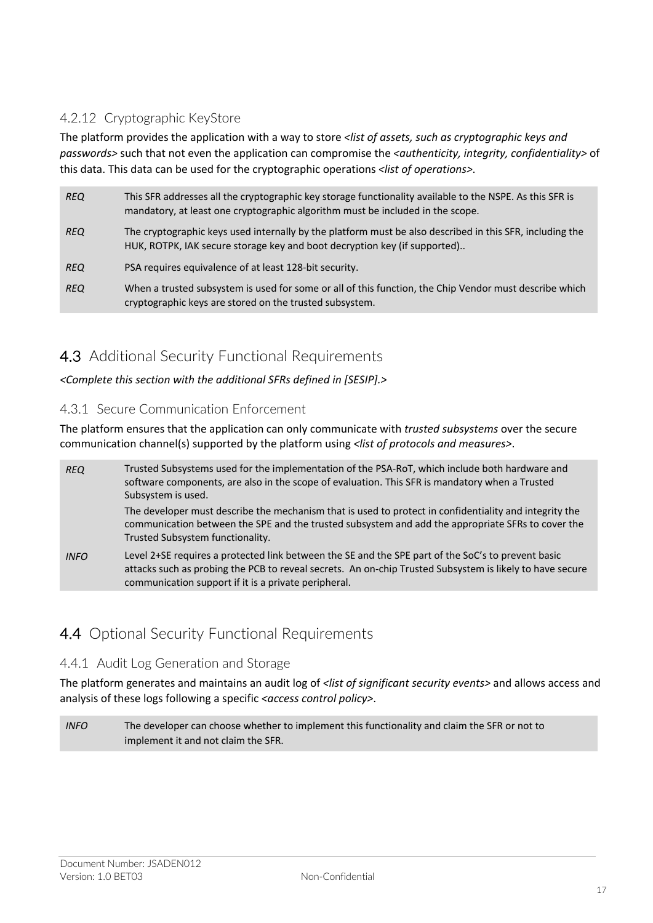### 4.2.12 Cryptographic KeyStore

The platform provides the application with a way to store *<list of assets, such as cryptographic keys and passwords>* such that not even the application can compromise the *<authenticity, integrity, confidentiality>* of this data. This data can be used for the cryptographic operations *<list of operations>*.

| <b>REQ</b> | This SFR addresses all the cryptographic key storage functionality available to the NSPE. As this SFR is<br>mandatory, at least one cryptographic algorithm must be included in the scope. |
|------------|--------------------------------------------------------------------------------------------------------------------------------------------------------------------------------------------|
| <b>REQ</b> | The cryptographic keys used internally by the platform must be also described in this SFR, including the<br>HUK, ROTPK, IAK secure storage key and boot decryption key (if supported)      |
| <b>REQ</b> | PSA requires equivalence of at least 128-bit security.                                                                                                                                     |
| <b>REQ</b> | When a trusted subsystem is used for some or all of this function, the Chip Vendor must describe which<br>cryptographic keys are stored on the trusted subsystem.                          |

## 4.3 Additional Security Functional Requirements

*<Complete this section with the additional SFRs defined in [SESIP].>*

#### 4.3.1 Secure Communication Enforcement

The platform ensures that the application can only communicate with *trusted subsystems* over the secure communication channel(s) supported by the platform using *<list of protocols and measures>*.

| <b>REQ</b>  | Trusted Subsystems used for the implementation of the PSA-RoT, which include both hardware and<br>software components, are also in the scope of evaluation. This SFR is mandatory when a Trusted<br>Subsystem is used.                                                 |
|-------------|------------------------------------------------------------------------------------------------------------------------------------------------------------------------------------------------------------------------------------------------------------------------|
|             | The developer must describe the mechanism that is used to protect in confidentiality and integrity the<br>communication between the SPE and the trusted subsystem and add the appropriate SFRs to cover the<br>Trusted Subsystem functionality.                        |
| <b>INFO</b> | Level 2+SE requires a protected link between the SE and the SPE part of the SoC's to prevent basic<br>attacks such as probing the PCB to reveal secrets. An on-chip Trusted Subsystem is likely to have secure<br>communication support if it is a private peripheral. |

## 4.4 Optional Security Functional Requirements

#### 4.4.1 Audit Log Generation and Storage

The platform generates and maintains an audit log of *<list of significant security events>* and allows access and analysis of these logs following a specific <access control policy>.

*INFO* The developer can choose whether to implement this functionality and claim the SFR or not to implement it and not claim the SFR.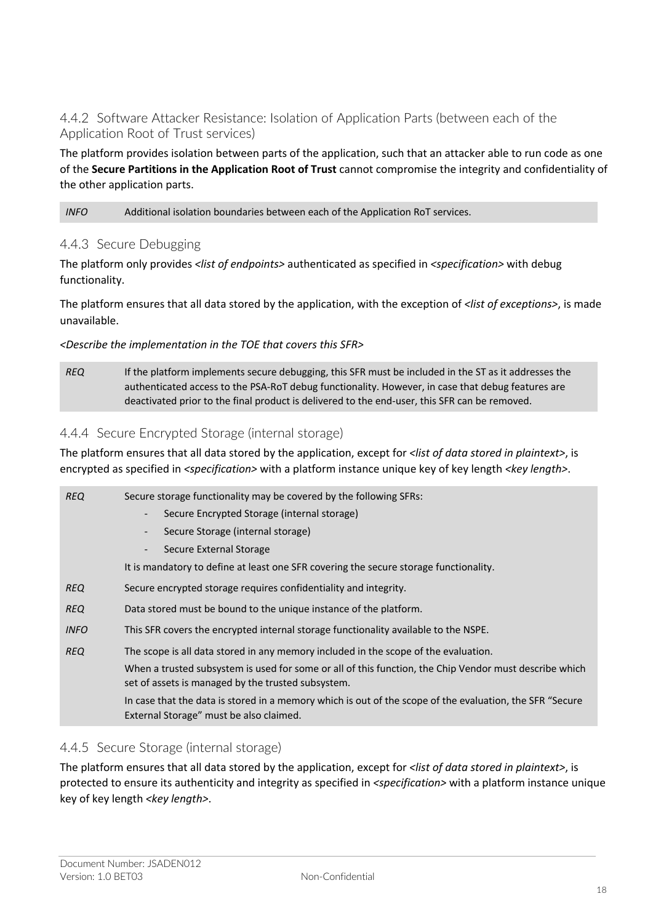#### 4.4.2 Software Attacker Resistance: Isolation of Application Parts (between each of the Application Root of Trust services)

The platform provides isolation between parts of the application, such that an attacker able to run code as one of the **Secure Partitions in the Application Root of Trust** cannot compromise the integrity and confidentiality of the other application parts.

#### *INFO* Additional isolation boundaries between each of the Application RoT services.

#### 4.4.3 Secure Debugging

The platform only provides *<list of endpoints>* authenticated as specified in *<specification>* with debug functionality.

The platform ensures that all data stored by the application, with the exception of *<list of exceptions>*, is made unavailable.

#### *<Describe the implementation in the TOE that covers this SFR>*

*REQ* If the platform implements secure debugging, this SFR must be included in the ST as it addresses the authenticated access to the PSA-RoT debug functionality. However, in case that debug features are deactivated prior to the final product is delivered to the end-user, this SFR can be removed.

#### 4.4.4 Secure Encrypted Storage (internal storage)

The platform ensures that all data stored by the application, except for *<list of data stored in plaintext>*, is encrypted as specified in *<specification>* with a platform instance unique key of key length *<key length>*.

| <b>REQ</b>  | Secure storage functionality may be covered by the following SFRs:                                                                                           |
|-------------|--------------------------------------------------------------------------------------------------------------------------------------------------------------|
|             | Secure Encrypted Storage (internal storage)<br>$\overline{\phantom{a}}$                                                                                      |
|             | Secure Storage (internal storage)<br>$\overline{\phantom{a}}$                                                                                                |
|             | Secure External Storage                                                                                                                                      |
|             | It is mandatory to define at least one SFR covering the secure storage functionality.                                                                        |
| <b>REQ</b>  | Secure encrypted storage requires confidentiality and integrity.                                                                                             |
| <b>REQ</b>  | Data stored must be bound to the unique instance of the platform.                                                                                            |
| <b>INFO</b> | This SFR covers the encrypted internal storage functionality available to the NSPE.                                                                          |
| <b>REQ</b>  | The scope is all data stored in any memory included in the scope of the evaluation.                                                                          |
|             | When a trusted subsystem is used for some or all of this function, the Chip Vendor must describe which<br>set of assets is managed by the trusted subsystem. |
|             | In case that the data is stored in a memory which is out of the scope of the evaluation, the SFR "Secure<br>External Storage" must be also claimed.          |

#### 4.4.5 Secure Storage (internal storage)

The platform ensures that all data stored by the application, except for *<list of data stored in plaintext>*, is protected to ensure its authenticity and integrity as specified in *<specification>* with a platform instance unique key of key length *<key length>*.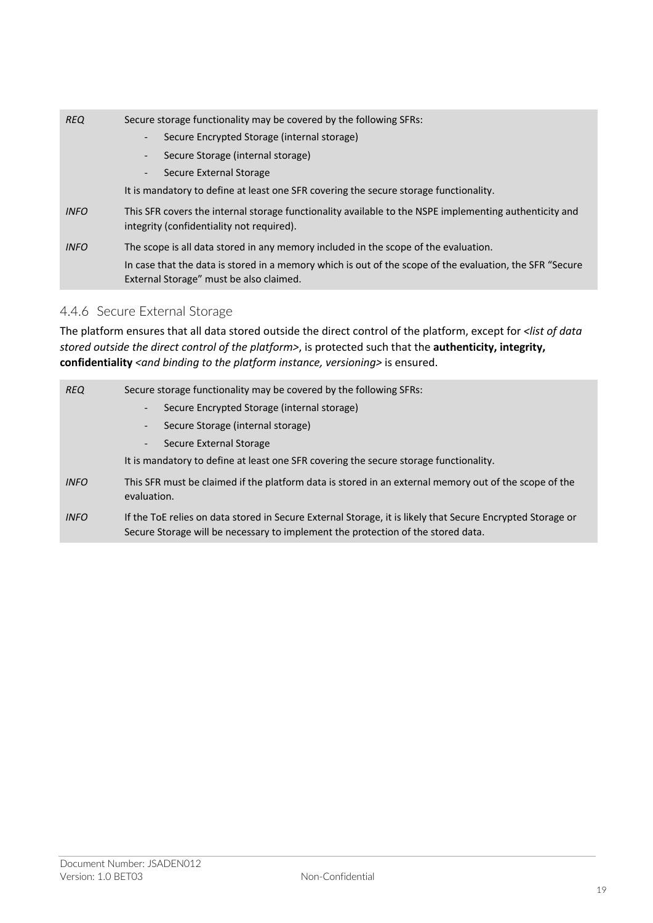| <b>REQ</b>  | Secure storage functionality may be covered by the following SFRs:<br>Secure Encrypted Storage (internal storage)<br>$\overline{\phantom{a}}$<br>Secure Storage (internal storage)<br>$\overline{\phantom{a}}$<br>Secure External Storage<br>$\overline{\phantom{a}}$<br>It is mandatory to define at least one SFR covering the secure storage functionality. |
|-------------|----------------------------------------------------------------------------------------------------------------------------------------------------------------------------------------------------------------------------------------------------------------------------------------------------------------------------------------------------------------|
| <b>INFO</b> | This SFR covers the internal storage functionality available to the NSPE implementing authenticity and<br>integrity (confidentiality not required).                                                                                                                                                                                                            |
| <b>INFO</b> | The scope is all data stored in any memory included in the scope of the evaluation.<br>In case that the data is stored in a memory which is out of the scope of the evaluation, the SFR "Secure"<br>External Storage" must be also claimed.                                                                                                                    |

### 4.4.6 Secure External Storage

The platform ensures that all data stored outside the direct control of the platform, except for *<list of data stored outside the direct control of the platform>*, is protected such that the **authenticity, integrity,**  confidentiality <and binding to the platform instance, versioning> is ensured.

| <b>REQ</b>  | Secure storage functionality may be covered by the following SFRs:                                                                                                                             |  |  |
|-------------|------------------------------------------------------------------------------------------------------------------------------------------------------------------------------------------------|--|--|
|             | Secure Encrypted Storage (internal storage)                                                                                                                                                    |  |  |
|             | Secure Storage (internal storage)                                                                                                                                                              |  |  |
|             | Secure External Storage                                                                                                                                                                        |  |  |
|             | It is mandatory to define at least one SFR covering the secure storage functionality.                                                                                                          |  |  |
| <b>INFO</b> | This SFR must be claimed if the platform data is stored in an external memory out of the scope of the<br>evaluation.                                                                           |  |  |
| <b>INFO</b> | If the ToE relies on data stored in Secure External Storage, it is likely that Secure Encrypted Storage or<br>Secure Storage will be necessary to implement the protection of the stored data. |  |  |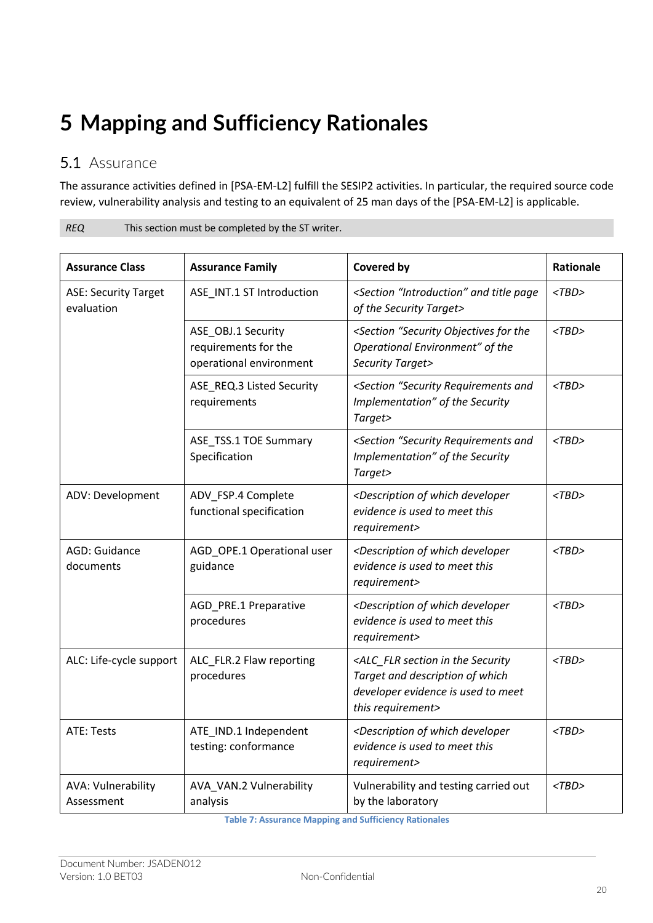## **5 Mapping and Sufficiency Rationales**

*REQ* This section must be completed by the ST writer.

## 5.1 Assurance

The assurance activities defined in [PSA-EM-L2] fulfill the SESIP2 activities. In particular, the required source code review, vulnerability analysis and testing to an equivalent of 25 man days of the [PSA-EM-L2] is applicable.

| ᇿ<br>This security must be completed by the 31 whiter. |                                                                       |                                                                                                                                                                          |             |  |  |  |
|--------------------------------------------------------|-----------------------------------------------------------------------|--------------------------------------------------------------------------------------------------------------------------------------------------------------------------|-------------|--|--|--|
| <b>Assurance Class</b>                                 | <b>Assurance Family</b>                                               | Covered by                                                                                                                                                               | Rationale   |  |  |  |
| <b>ASE: Security Target</b><br>evaluation              | ASE_INT.1 ST Introduction                                             | <section "introduction"="" and="" page<br="" title="">of the Security Target&gt;</section>                                                                               | $<$ TBD $>$ |  |  |  |
|                                                        | ASE_OBJ.1 Security<br>requirements for the<br>operational environment | <section "security="" for="" objectives="" the<br="">Operational Environment" of the<br/>Security Target&gt;</section>                                                   | $<$ TBD $>$ |  |  |  |
|                                                        | ASE_REQ.3 Listed Security<br>requirements                             | <section "security="" and<br="" requirements="">Implementation" of the Security<br/>Target&gt;</section>                                                                 | $<$ TBD $>$ |  |  |  |
|                                                        | ASE_TSS.1 TOE Summary<br>Specification                                | <section "security="" and<br="" requirements="">Implementation" of the Security<br/>Target&gt;</section>                                                                 | $<$ TBD $>$ |  |  |  |
| ADV: Development                                       | ADV_FSP.4 Complete<br>functional specification                        | <description developer<br="" of="" which="">evidence is used to meet this<br/>requirement&gt;</description>                                                              | $<$ TBD $>$ |  |  |  |
| AGD: Guidance<br>documents                             | AGD_OPE.1 Operational user<br>guidance                                | <description developer<br="" of="" which="">evidence is used to meet this<br/>requirement&gt;</description>                                                              | $<$ TBD $>$ |  |  |  |
|                                                        | AGD_PRE.1 Preparative<br>procedures                                   | <description developer<br="" of="" which="">evidence is used to meet this<br/>requirement&gt;</description>                                                              | $<$ TBD $>$ |  |  |  |
| ALC: Life-cycle support                                | ALC_FLR.2 Flaw reporting<br>procedures                                | $<$ TBD $>$<br><alc_flr in="" section="" security<br="" the="">Target and description of which<br/>developer evidence is used to meet<br/>this requirement&gt;</alc_flr> |             |  |  |  |
| ATE: Tests                                             | ATE_IND.1 Independent<br>testing: conformance                         | <description developer<br="" of="" which="">evidence is used to meet this<br/>requirement&gt;</description>                                                              | $<$ TBD $>$ |  |  |  |
| AVA: Vulnerability<br>Assessment                       | AVA_VAN.2 Vulnerability<br>analysis                                   | Vulnerability and testing carried out<br>by the laboratory                                                                                                               | $<$ TBD $>$ |  |  |  |

**Table 7: Assurance Mapping and Sufficiency Rationales**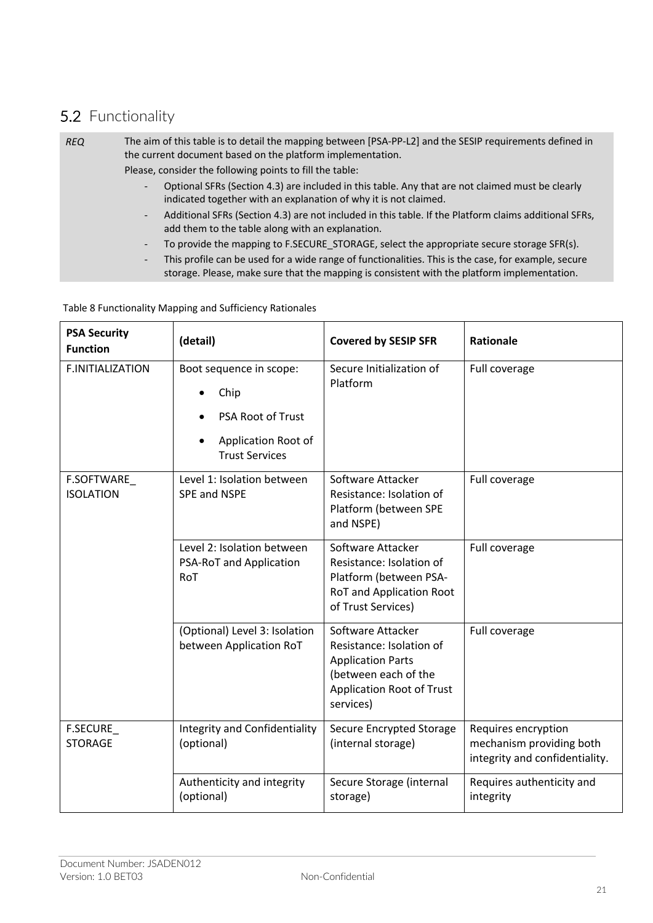## 5.2 Functionality

#### *REQ* The aim of this table is to detail the mapping between [PSA-PP-L2] and the SESIP requirements defined in the current document based on the platform implementation. Please, consider the following points to fill the table:

- Optional SFRs (Section 4.3) are included in this table. Any that are not claimed must be clearly indicated together with an explanation of why it is not claimed.
- Additional SFRs (Section 4.3) are not included in this table. If the Platform claims additional SFRs, add them to the table along with an explanation.
- To provide the mapping to F.SECURE\_STORAGE, select the appropriate secure storage SFR(s).
- This profile can be used for a wide range of functionalities. This is the case, for example, secure storage. Please, make sure that the mapping is consistent with the platform implementation.

#### Table 8 Functionality Mapping and Sufficiency Rationales

| <b>PSA Security</b><br><b>Function</b> | (detail)                                                                                                    | <b>Covered by SESIP SFR</b>                                                                                                                        | <b>Rationale</b>                                                                  |
|----------------------------------------|-------------------------------------------------------------------------------------------------------------|----------------------------------------------------------------------------------------------------------------------------------------------------|-----------------------------------------------------------------------------------|
| <b>F.INITIALIZATION</b>                | Boot sequence in scope:<br>Chip<br><b>PSA Root of Trust</b><br>Application Root of<br><b>Trust Services</b> | Secure Initialization of<br>Platform                                                                                                               | Full coverage                                                                     |
| F.SOFTWARE<br><b>ISOLATION</b>         | Level 1: Isolation between<br><b>SPE and NSPE</b>                                                           | Software Attacker<br>Resistance: Isolation of<br>Platform (between SPE<br>and NSPE)                                                                | Full coverage                                                                     |
|                                        | Level 2: Isolation between<br>PSA-RoT and Application<br>RoT                                                | Software Attacker<br>Resistance: Isolation of<br>Platform (between PSA-<br>RoT and Application Root<br>of Trust Services)                          | Full coverage                                                                     |
|                                        | (Optional) Level 3: Isolation<br>between Application RoT                                                    | Software Attacker<br>Resistance: Isolation of<br><b>Application Parts</b><br>(between each of the<br><b>Application Root of Trust</b><br>services) | Full coverage                                                                     |
| <b>F.SECURE</b><br><b>STORAGE</b>      | <b>Integrity and Confidentiality</b><br>(optional)                                                          | <b>Secure Encrypted Storage</b><br>(internal storage)                                                                                              | Requires encryption<br>mechanism providing both<br>integrity and confidentiality. |
|                                        | Authenticity and integrity<br>(optional)                                                                    | Secure Storage (internal<br>storage)                                                                                                               | Requires authenticity and<br>integrity                                            |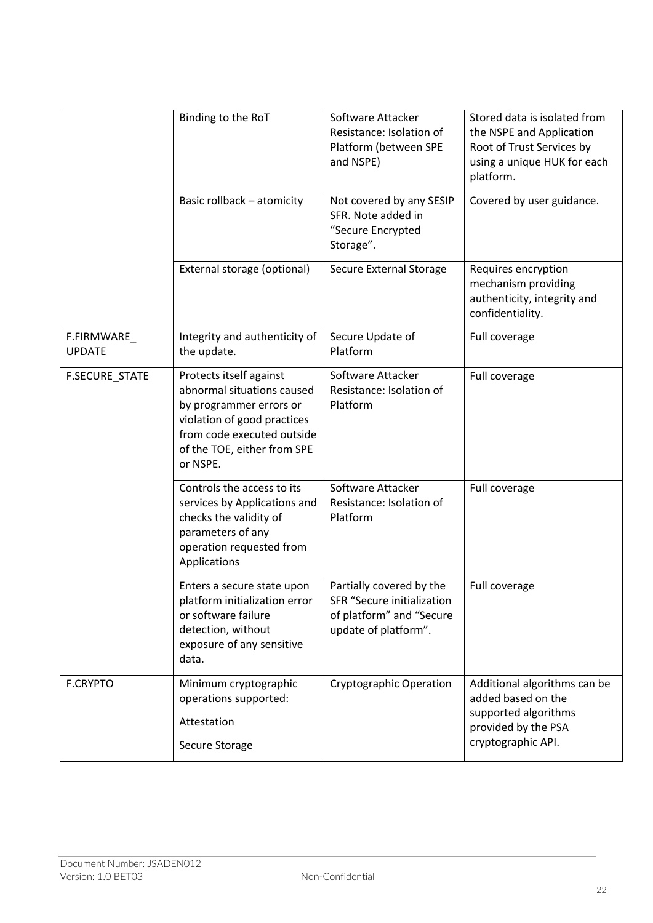|                             | Binding to the RoT                                                                                                                                                                       | Software Attacker<br>Resistance: Isolation of<br>Platform (between SPE<br>and NSPE)                        | Stored data is isolated from<br>the NSPE and Application<br>Root of Trust Services by<br>using a unique HUK for each<br>platform. |
|-----------------------------|------------------------------------------------------------------------------------------------------------------------------------------------------------------------------------------|------------------------------------------------------------------------------------------------------------|-----------------------------------------------------------------------------------------------------------------------------------|
|                             | Basic rollback - atomicity                                                                                                                                                               | Not covered by any SESIP<br>SFR. Note added in<br>"Secure Encrypted<br>Storage".                           | Covered by user guidance.                                                                                                         |
|                             | External storage (optional)                                                                                                                                                              | Secure External Storage                                                                                    | Requires encryption<br>mechanism providing<br>authenticity, integrity and<br>confidentiality.                                     |
| F.FIRMWARE<br><b>UPDATE</b> | Integrity and authenticity of<br>the update.                                                                                                                                             | Secure Update of<br>Platform                                                                               | Full coverage                                                                                                                     |
| <b>F.SECURE STATE</b>       | Protects itself against<br>abnormal situations caused<br>by programmer errors or<br>violation of good practices<br>from code executed outside<br>of the TOE, either from SPE<br>or NSPE. | Software Attacker<br>Resistance: Isolation of<br>Platform                                                  | Full coverage                                                                                                                     |
|                             | Controls the access to its<br>services by Applications and<br>checks the validity of<br>parameters of any<br>operation requested from<br>Applications                                    | Software Attacker<br>Resistance: Isolation of<br>Platform                                                  | Full coverage                                                                                                                     |
|                             | Enters a secure state upon<br>platform initialization error<br>or software failure<br>detection, without<br>exposure of any sensitive<br>data.                                           | Partially covered by the<br>SFR "Secure initialization<br>of platform" and "Secure<br>update of platform". | Full coverage                                                                                                                     |
| <b>F.CRYPTO</b>             | Minimum cryptographic<br>operations supported:<br>Attestation<br>Secure Storage                                                                                                          | <b>Cryptographic Operation</b>                                                                             | Additional algorithms can be<br>added based on the<br>supported algorithms<br>provided by the PSA<br>cryptographic API.           |